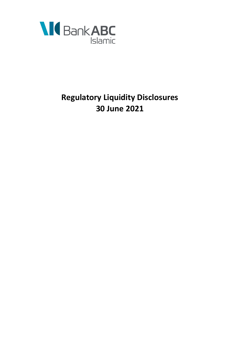

# **Regulatory Liquidity Disclosures 30 June 2021**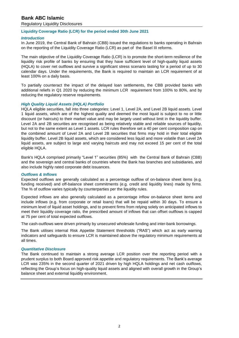# **Bank ABC Islamic**

Regulatory Liquidity Disclosures

## **Liquidity Coverage Ratio (LCR) for the period ended 30th June 2021**

## *Introduction*

In June 2019, the Central Bank of Bahrain (CBB) issued the regulations to banks operating in Bahrain on the reporting of the Liquidity Coverage Ratio (LCR) as part of the Basel III reforms.

The main objective of the Liquidity Coverage Ratio (LCR) is to promote the short-term resilience of the liquidity risk profile of banks by ensuring that they have sufficient level of high-quality liquid assets (HQLA) to cover net outflows and survive a significant stress scenario lasting for a period of up to 30 calendar days. Under the requirements, the Bank is required to maintain an LCR requirement of at least 100% on a daily basis.

To partially counteract the impact of the delayed loan settlements, the CBB provided banks with additional reliefs in Q1 2020 by reducing the minimum LCR requirement from 100% to 80%, and by reducing the regulatory reserve requirements.

## *High Quality Liquid Assets (HQLA) Portfolio*

HQLA eligible securities, fall into three categories: Level 1, Level 2A, and Level 2B liquid assets. Level 1 liquid assets, which are of the highest quality and deemed the most liquid is subject to no or little discount (or haircuts) to their market value and may be largely used without limit in the liquidity buffer. Level 2A and 2B securities are recognised as being relatively stable and reliable sources of liquidity, but not to the same extent as Level 1 assets. LCR rules therefore set a 40 per cent composition cap on the combined amount of Level 2A and Level 2B securities that firms may hold in their total eligible liquidity buffer. Level 2B liquid assets, which are considered less liquid and more volatile than Level 2A liquid assets, are subject to large and varying haircuts and may not exceed 15 per cent of the total eligible HQLA.

Bank's HQLA comprised primarily "Level 1" securities (85%) with the Central Bank of Bahrain (CBB) and the sovereign and central banks of countries where the Bank has branches and subsidiaries, and also include highly rated corporate debt issuances.

#### *Outflows & Inflows*

Expected outflows are generally calculated as a percentage outflow of on-balance sheet items (e.g. funding received) and off-balance sheet commitments (e.g. credit and liquidity lines) made by firms. The % of outflow varies typically by counterparties per the liquidity rules.

Expected inflows are also generally calculated as a percentage inflow on-balance sheet items and include inflows (e.g. from corporate or retail loans) that will be repaid within 30 days. To ensure a minimum level of liquid asset holdings, and to prevent firms from relying solely on anticipated inflows to meet their liquidity coverage ratio, the prescribed amount of inflows that can offset outflows is capped at 75 per cent of total expected outflows.

The cash-outflows were driven primarily by unsecured wholesale funding and inter-bank borrowings.

The Bank utilises internal Risk Appetite Statement thresholds ("RAS") which act as early warning indicators and safeguards to ensure LCR is maintained above the regulatory minimum requirements at all times.

#### *Quantitative Disclosure*

The Bank continued to maintain a strong average LCR position over the reporting period with a prudent surplus to both Board approved risk appetite and regulatory requirements. The Bank's average LCR was 235% in the second quarter of 2021 driven by high HQLA holdings and net cash outflows, reflecting the Group's focus on high-quality liquid assets and aligned with overall growth in the Group's balance sheet and external liquidity environment.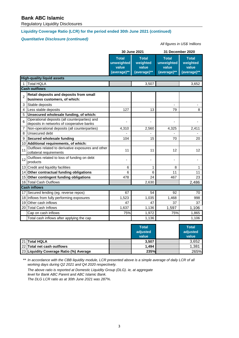# **Bank ABC Islamic**

Regulatory Liquidity Disclosures

# **Liquidity Coverage Ratio (LCR) for the period ended 30th June 2021 (continued)**

# *Quantitative Disclosure (continued)*

#### *All figures in US\$ 'millions*

|                |                                                                                            |                                                    | 30 June 2021                                     | 31 December 2020                                   |                                                  |  |  |  |  |  |
|----------------|--------------------------------------------------------------------------------------------|----------------------------------------------------|--------------------------------------------------|----------------------------------------------------|--------------------------------------------------|--|--|--|--|--|
|                |                                                                                            | <b>Total</b><br>unweighted<br>value<br>(average)** | <b>Total</b><br>weighted<br>value<br>(average)** | <b>Total</b><br>unweighted<br>value<br>(average)** | <b>Total</b><br>weighted<br>value<br>(average)** |  |  |  |  |  |
|                | <b>High-quality liquid assets</b>                                                          |                                                    |                                                  |                                                    |                                                  |  |  |  |  |  |
| 1              | <b>Total HQLA</b>                                                                          |                                                    | 3,507                                            |                                                    | 3,652                                            |  |  |  |  |  |
|                | <b>Cash outflows</b>                                                                       |                                                    |                                                  |                                                    |                                                  |  |  |  |  |  |
| $\overline{2}$ | Retail deposits and deposits from small<br>business customers, of which:                   |                                                    |                                                  |                                                    |                                                  |  |  |  |  |  |
| 3              | Stable deposits                                                                            |                                                    |                                                  | $\blacksquare$                                     |                                                  |  |  |  |  |  |
| 4              | Less stable deposits                                                                       | 127                                                | 13                                               | 79                                                 | 8                                                |  |  |  |  |  |
| 5              | Unsecured wholesale funding, of which:                                                     |                                                    |                                                  |                                                    |                                                  |  |  |  |  |  |
| 6              | Operational deposits (all counterparties) and<br>deposits in networks of cooperative banks |                                                    | Ĭ.                                               | $\blacksquare$                                     |                                                  |  |  |  |  |  |
| $\overline{7}$ | Non-operational deposits (all counterparties)                                              | 4,310                                              | 2,560                                            | 4,325                                              | 2,411                                            |  |  |  |  |  |
| 8              | <b>Unsecured debt</b>                                                                      |                                                    |                                                  |                                                    |                                                  |  |  |  |  |  |
| 9              | <b>Secured wholesale funding</b>                                                           | 104                                                | 15                                               | 70                                                 | 20                                               |  |  |  |  |  |
| 10             | Additional requirements, of which:                                                         |                                                    |                                                  |                                                    |                                                  |  |  |  |  |  |
| 11             | Outflows related to derivative exposures and other<br>collateral requirements              | 11                                                 | 11                                               | 12                                                 | 12                                               |  |  |  |  |  |
| 12             | Outflows related to loss of funding on debt<br>products                                    | Ĭ.                                                 | -                                                | $\overline{\phantom{0}}$                           |                                                  |  |  |  |  |  |
| 13             | Credit and liquidity facilities                                                            | 6                                                  | 1                                                | 8                                                  | 1                                                |  |  |  |  |  |
| 14             | Other contractual funding obligations                                                      | 6                                                  | 6                                                | 11                                                 | 11                                               |  |  |  |  |  |
|                | 15 Other contingent funding obligations                                                    | 478                                                | 24                                               | 467                                                | 23                                               |  |  |  |  |  |
| 16             | <b>Total Cash Outflows</b>                                                                 |                                                    | 2,630                                            |                                                    | 2,486                                            |  |  |  |  |  |
|                | <b>Cash inflows</b>                                                                        |                                                    |                                                  |                                                    |                                                  |  |  |  |  |  |
| 17             | Secured lending (eg. reverse repos)                                                        | 67                                                 | 54                                               | 92                                                 | 70                                               |  |  |  |  |  |
| 18             | Inflows from fully performing exposures                                                    | 1,523                                              | 1,035                                            | 1,468                                              | 998                                              |  |  |  |  |  |
|                | 19 Other cash inflows                                                                      | 47                                                 | 47                                               | 37                                                 | 37                                               |  |  |  |  |  |
| 20             | <b>Total Cash Inflows</b>                                                                  | 1,637                                              | 1,136                                            | 1,597                                              | 1,106                                            |  |  |  |  |  |
|                | Cap on cash inflows                                                                        | 75%                                                | 1,972                                            | 75%                                                | 1,865                                            |  |  |  |  |  |
|                | Total cash inflows after applying the cap                                                  |                                                    | 1,136                                            |                                                    | 1,106                                            |  |  |  |  |  |

|  |                                         |  | <b>Total</b><br>adjusted<br>value | <b>Total</b><br>adjusted<br>value |  |
|--|-----------------------------------------|--|-----------------------------------|-----------------------------------|--|
|  | 21 Total HQLA                           |  | 3,507                             | 3,652                             |  |
|  | 22 Total net cash outflows              |  | 1.494                             | 1,381                             |  |
|  | 23 Liquidity Coverage Ratio (%) Average |  | 235%                              | 265%                              |  |

\*\* *In accordance with the CBB liquidity module, LCR presented above is a simple average of daily LCR of all working days during Q2 2021 and Q4 2020 respectively.*

*The above ratio is reported at Domestic Liquidity Group (DLG). ie, at aggregate level for Bank ABC Parent and ABC Islamic Bank. The DLG LCR ratio as at 30th June 2021 was 287%.*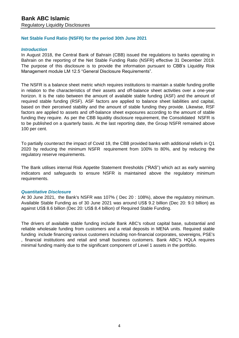# **Net Stable Fund Ratio (NSFR) for the period 30th June 2021**

# *Introduction*

In August 2018, the Central Bank of Bahrain (CBB) issued the regulations to banks operating in Bahrain on the reporting of the Net Stable Funding Ratio (NSFR) effective 31 December 2019. The purpose of this disclosure is to provide the information pursuant to CBB's Liquidity Risk Management module LM 12.5 "General Disclosure Requirements".

The NSFR is a balance sheet metric which requires institutions to maintain a stable funding profile in relation to the characteristics of their assets and off-balance sheet activities over a one-year horizon. It is the ratio between the amount of available stable funding (ASF) and the amount of required stable funding (RSF). ASF factors are applied to balance sheet liabilities and capital, based on their perceived stability and the amount of stable funding they provide. Likewise, RSF factors are applied to assets and off-balance sheet exposures according to the amount of stable funding they require. As per the CBB liquidity disclosure requirement, the Consolidated NSFR is to be published on a quarterly basis. At the last reporting date, the Group NSFR remained above 100 per cent.

To partially counteract the impact of Covid 19, the CBB provided banks with additional reliefs in Q1 2020 by reducing the minimum NSFR requirement from 100% to 80%, and by reducing the regulatory reserve requirements.

The Bank utilises internal Risk Appetite Statement thresholds ("RAS") which act as early warning indicators and safeguards to ensure NSFR is maintained above the regulatory minimum requirements.

# *Quantitative Disclosure*

At 30 June 2021, the Bank's NSFR was 107% ( Dec 20 : 108%), above the regulatory minimum. Available Stable Funding as of 30 June 2021 was around US\$ 9.2 billion (Dec 20: 9.0 billion) as against US\$ 8.6 billion (Dec 20: US\$ 8.4 billion) of Required Stable Funding.

The drivers of available stable funding include Bank ABC's robust capital base, substantial and reliable wholesale funding from customers and a retail deposits in MENA units. Required stable funding include financing various customers including non-financial corporates, sovereigns, PSE's , financial institutions and retail and small business customers. Bank ABC's HQLA requires minimal funding mainly due to the significant component of Level 1 assets in the portfolio.